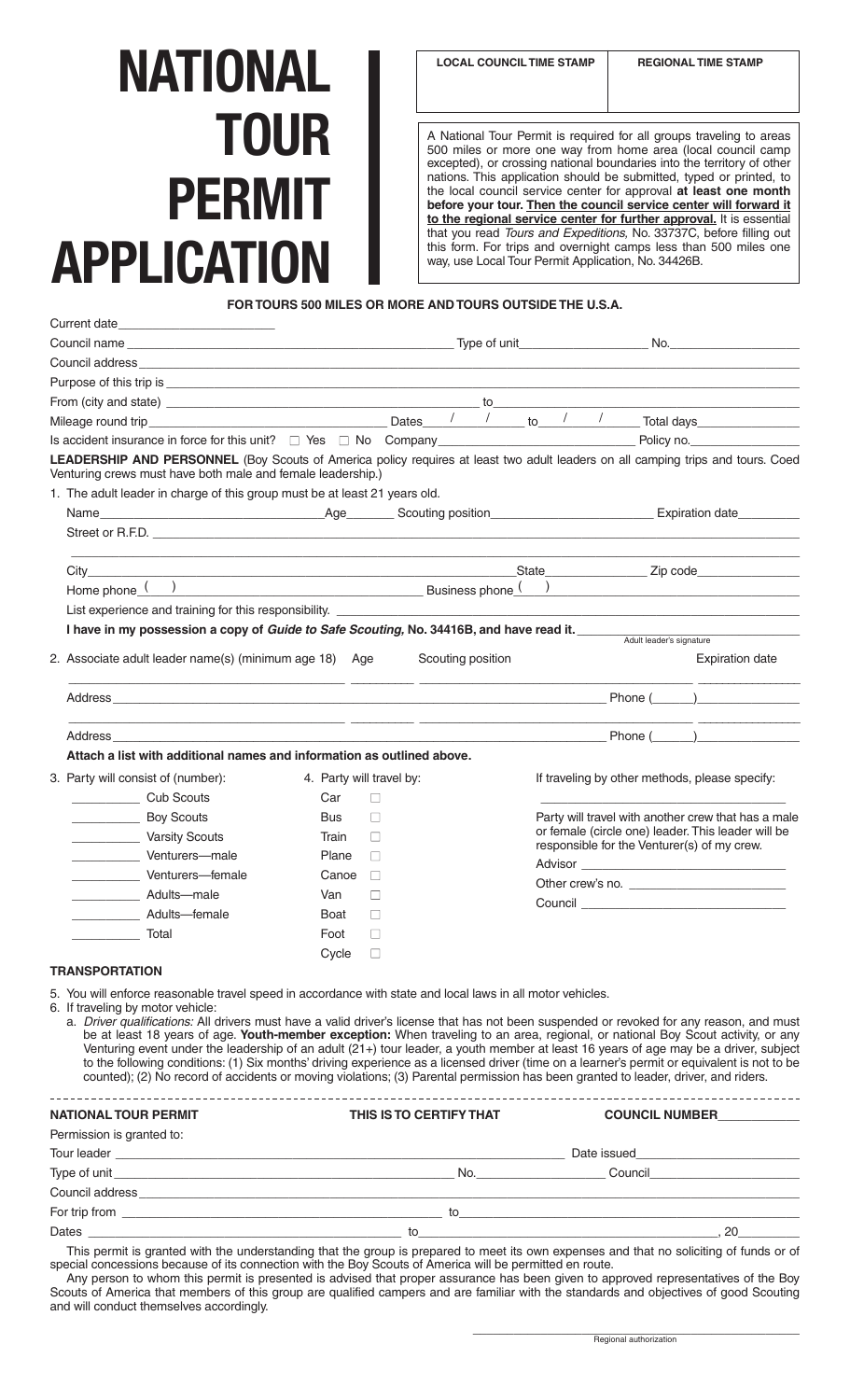# **NATIONAL TOUR PERMIT APPLICATION**

Current date

**LOCAL COUNCIL TIME STAMP REGIONAL TIME STAMP**

A National Tour Permit is required for all groups traveling to areas 500 miles or more one way from home area (local council camp excepted), or crossing national boundaries into the territory of other nations. This application should be submitted, typed or printed, to the local council service center for approval **at least one month before your tour. Then the council service center will forward it to the regional service center for further approval.** It is essential that you read *Tours and Expeditions,* No. 33737C, before filling out this form. For trips and overnight camps less than 500 miles one way, use Local Tour Permit Application, No. 34426B.

# **FOR TOURS 500 MILES OR MORE AND TOURS OUTSIDE THE U.S.A.**

| From (city and state) <u>example and control and control and control and control and control and control and control and control and control and control and control and control and control and control and control and control</u> |                          |                                                                                                                      |  |                                                                                                   |  |  |                                                     |
|--------------------------------------------------------------------------------------------------------------------------------------------------------------------------------------------------------------------------------------|--------------------------|----------------------------------------------------------------------------------------------------------------------|--|---------------------------------------------------------------------------------------------------|--|--|-----------------------------------------------------|
|                                                                                                                                                                                                                                      |                          |                                                                                                                      |  |                                                                                                   |  |  |                                                     |
|                                                                                                                                                                                                                                      |                          |                                                                                                                      |  |                                                                                                   |  |  |                                                     |
| LEADERSHIP AND PERSONNEL (Boy Scouts of America policy requires at least two adult leaders on all camping trips and tours. Coed<br>Venturing crews must have both male and female leadership.)                                       |                          |                                                                                                                      |  |                                                                                                   |  |  |                                                     |
| 1. The adult leader in charge of this group must be at least 21 years old.                                                                                                                                                           |                          |                                                                                                                      |  |                                                                                                   |  |  |                                                     |
|                                                                                                                                                                                                                                      |                          |                                                                                                                      |  |                                                                                                   |  |  |                                                     |
| Street or R.F.D.                                                                                                                                                                                                                     |                          |                                                                                                                      |  |                                                                                                   |  |  |                                                     |
|                                                                                                                                                                                                                                      |                          |                                                                                                                      |  |                                                                                                   |  |  |                                                     |
| Home phone $\begin{pmatrix} 1 & 1 \\ 1 & 1 \end{pmatrix}$ Business phone $\begin{pmatrix} 1 & 1 \\ 1 & 1 \end{pmatrix}$                                                                                                              |                          |                                                                                                                      |  |                                                                                                   |  |  |                                                     |
|                                                                                                                                                                                                                                      |                          |                                                                                                                      |  |                                                                                                   |  |  |                                                     |
| I have in my possession a copy of Guide to Safe Scouting, No. 34416B, and have read it.                                                                                                                                              |                          |                                                                                                                      |  |                                                                                                   |  |  | Adult leader's signature                            |
| 2. Associate adult leader name(s) (minimum age 18) Age Scouting position                                                                                                                                                             |                          |                                                                                                                      |  |                                                                                                   |  |  | <b>Expiration date</b>                              |
|                                                                                                                                                                                                                                      |                          | <u> 2000 - 2000 - 2000 - 2000 - 2000 - 2000 - 2000 - 2000 - 2000 - 2000 - 2000 - 2000 - 2000 - 2000 - 2000 - 200</u> |  |                                                                                                   |  |  |                                                     |
| <u> 1990 - Johann Harry Harry Harry Harry Harry Harry Harry Harry Harry Harry Harry Harry Harry Harry Harry Harry</u>                                                                                                                |                          |                                                                                                                      |  |                                                                                                   |  |  |                                                     |
| Attach a list with additional names and information as outlined above.                                                                                                                                                               |                          |                                                                                                                      |  |                                                                                                   |  |  |                                                     |
| 3. Party will consist of (number):                                                                                                                                                                                                   | 4. Party will travel by: |                                                                                                                      |  |                                                                                                   |  |  | If traveling by other methods, please specify:      |
| Cub Scouts                                                                                                                                                                                                                           | Car                      | $\Box$                                                                                                               |  |                                                                                                   |  |  |                                                     |
| <b>Example 18 Boy Scouts</b>                                                                                                                                                                                                         | <b>Bus</b>               | П                                                                                                                    |  |                                                                                                   |  |  | Party will travel with another crew that has a male |
| Varsity Scouts                                                                                                                                                                                                                       | Train                    | П                                                                                                                    |  | or female (circle one) leader. This leader will be<br>responsible for the Venturer(s) of my crew. |  |  |                                                     |
| Venturers-male                                                                                                                                                                                                                       | Plane                    | П                                                                                                                    |  |                                                                                                   |  |  |                                                     |
| Venturers-female                                                                                                                                                                                                                     | Canoe                    | $\Box$                                                                                                               |  |                                                                                                   |  |  |                                                     |
| Adults—male                                                                                                                                                                                                                          | Van                      | П                                                                                                                    |  |                                                                                                   |  |  |                                                     |
|                                                                                                                                                                                                                                      | Boat                     | $\Box$                                                                                                               |  |                                                                                                   |  |  |                                                     |
| Adults-female                                                                                                                                                                                                                        |                          | $\Box$                                                                                                               |  |                                                                                                   |  |  |                                                     |
| <u>na amin'ny fivondronan-kaominin'i Total</u>                                                                                                                                                                                       | Foot                     |                                                                                                                      |  |                                                                                                   |  |  |                                                     |
|                                                                                                                                                                                                                                      | Cycle                    | $\Box$                                                                                                               |  |                                                                                                   |  |  |                                                     |

a. *Driver qualifications:* All drivers must have a valid driver's license that has not been suspended or revoked for any reason, and must be at least 18 years of age. **Youth-member exception:** When traveling to an area, regional, or national Boy Scout activity, or any Venturing event under the leadership of an adult (21+) tour leader, a youth member at least 16 years of age may be a driver, subject to the following conditions: (1) Six months' driving experience as a licensed driver (time on a learner's permit or equivalent is not to be counted); (2) No record of accidents or moving violations; (3) Parental permission has been granted to leader, driver, and riders.

| <b>NATIONAL TOUR PERMIT</b>            | THIS IS TO CERTIFY THAT                                                                                                                                                                                                        | <b>COUNCIL NUMBER</b>                                                                                                                                                                                                          |  |
|----------------------------------------|--------------------------------------------------------------------------------------------------------------------------------------------------------------------------------------------------------------------------------|--------------------------------------------------------------------------------------------------------------------------------------------------------------------------------------------------------------------------------|--|
| Permission is granted to:              |                                                                                                                                                                                                                                |                                                                                                                                                                                                                                |  |
|                                        |                                                                                                                                                                                                                                | Date issued________________                                                                                                                                                                                                    |  |
|                                        | No. And the contract of the contract of the contract of the contract of the contract of the contract of the contract of the contract of the contract of the contract of the contract of the contract of the contract of the co | Council                                                                                                                                                                                                                        |  |
| Council address                        |                                                                                                                                                                                                                                |                                                                                                                                                                                                                                |  |
| For trip from $\overline{\phantom{a}}$ |                                                                                                                                                                                                                                | to the contract of the contract of the contract of the contract of the contract of the contract of the contract of the contract of the contract of the contract of the contract of the contract of the contract of the contrac |  |
|                                        | to                                                                                                                                                                                                                             | 20                                                                                                                                                                                                                             |  |

This permit is granted with the understanding that the group is prepared to meet its own expenses and that no soliciting of funds or of special concessions because of its connection with the Boy Scouts of America will be permitted en route.

Any person to whom this permit is presented is advised that proper assurance has been given to approved representatives of the Boy Scouts of America that members of this group are qualified campers and are familiar with the standards and objectives of good Scouting and will conduct themselves accordingly.